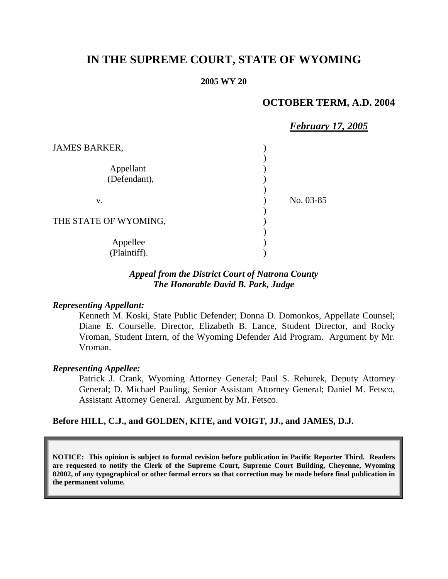# **IN THE SUPREME COURT, STATE OF WYOMING**

#### **2005 WY 20**

# **OCTOBER TERM, A.D. 2004**

|                       | <b>February 17, 2005</b> |
|-----------------------|--------------------------|
| <b>JAMES BARKER,</b>  |                          |
|                       |                          |
| Appellant             |                          |
| (Defendant),          |                          |
|                       |                          |
| V.                    | No. 03-85                |
|                       |                          |
| THE STATE OF WYOMING, |                          |
|                       |                          |
| Appellee              |                          |
| (Plaintiff).          |                          |

## *Appeal from the District Court of Natrona County The Honorable David B. Park, Judge*

#### *Representing Appellant:*

Kenneth M. Koski, State Public Defender; Donna D. Domonkos, Appellate Counsel; Diane E. Courselle, Director, Elizabeth B. Lance, Student Director, and Rocky Vroman, Student Intern, of the Wyoming Defender Aid Program. Argument by Mr. Vroman.

#### *Representing Appellee:*

Patrick J. Crank, Wyoming Attorney General; Paul S. Rehurek, Deputy Attorney General; D. Michael Pauling, Senior Assistant Attorney General; Daniel M. Fetsco, Assistant Attorney General. Argument by Mr. Fetsco.

#### **Before HILL, C.J., and GOLDEN, KITE, and VOIGT, JJ., and JAMES, D.J.**

**NOTICE: This opinion is subject to formal revision before publication in Pacific Reporter Third. Readers are requested to notify the Clerk of the Supreme Court, Supreme Court Building, Cheyenne, Wyoming 82002, of any typographical or other formal errors so that correction may be made before final publication in the permanent volume.**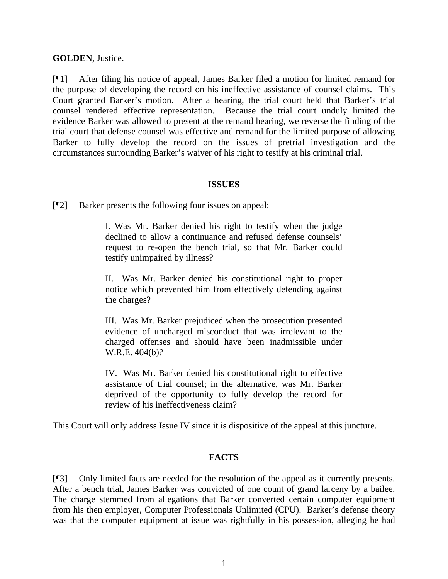## **GOLDEN**, Justice.

[¶1] After filing his notice of appeal, James Barker filed a motion for limited remand for the purpose of developing the record on his ineffective assistance of counsel claims. This Court granted Barker's motion. After a hearing, the trial court held that Barker's trial counsel rendered effective representation. Because the trial court unduly limited the evidence Barker was allowed to present at the remand hearing, we reverse the finding of the trial court that defense counsel was effective and remand for the limited purpose of allowing Barker to fully develop the record on the issues of pretrial investigation and the circumstances surrounding Barker's waiver of his right to testify at his criminal trial.

## **ISSUES**

[¶2] Barker presents the following four issues on appeal:

I. Was Mr. Barker denied his right to testify when the judge declined to allow a continuance and refused defense counsels' request to re-open the bench trial, so that Mr. Barker could testify unimpaired by illness?

II. Was Mr. Barker denied his constitutional right to proper notice which prevented him from effectively defending against the charges?

III. Was Mr. Barker prejudiced when the prosecution presented evidence of uncharged misconduct that was irrelevant to the charged offenses and should have been inadmissible under W.R.E. 404(b)?

IV. Was Mr. Barker denied his constitutional right to effective assistance of trial counsel; in the alternative, was Mr. Barker deprived of the opportunity to fully develop the record for review of his ineffectiveness claim?

This Court will only address Issue IV since it is dispositive of the appeal at this juncture.

# **FACTS**

[¶3] Only limited facts are needed for the resolution of the appeal as it currently presents. After a bench trial, James Barker was convicted of one count of grand larceny by a bailee. The charge stemmed from allegations that Barker converted certain computer equipment from his then employer, Computer Professionals Unlimited (CPU). Barker's defense theory was that the computer equipment at issue was rightfully in his possession, alleging he had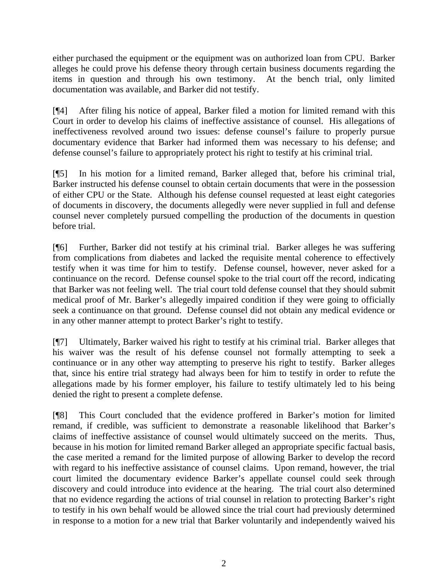either purchased the equipment or the equipment was on authorized loan from CPU. Barker alleges he could prove his defense theory through certain business documents regarding the items in question and through his own testimony. At the bench trial, only limited documentation was available, and Barker did not testify.

[¶4] After filing his notice of appeal, Barker filed a motion for limited remand with this Court in order to develop his claims of ineffective assistance of counsel. His allegations of ineffectiveness revolved around two issues: defense counsel's failure to properly pursue documentary evidence that Barker had informed them was necessary to his defense; and defense counsel's failure to appropriately protect his right to testify at his criminal trial.

[¶5] In his motion for a limited remand, Barker alleged that, before his criminal trial, Barker instructed his defense counsel to obtain certain documents that were in the possession of either CPU or the State. Although his defense counsel requested at least eight categories of documents in discovery, the documents allegedly were never supplied in full and defense counsel never completely pursued compelling the production of the documents in question before trial.

[¶6] Further, Barker did not testify at his criminal trial. Barker alleges he was suffering from complications from diabetes and lacked the requisite mental coherence to effectively testify when it was time for him to testify. Defense counsel, however, never asked for a continuance on the record. Defense counsel spoke to the trial court off the record, indicating that Barker was not feeling well. The trial court told defense counsel that they should submit medical proof of Mr. Barker's allegedly impaired condition if they were going to officially seek a continuance on that ground. Defense counsel did not obtain any medical evidence or in any other manner attempt to protect Barker's right to testify.

[¶7] Ultimately, Barker waived his right to testify at his criminal trial. Barker alleges that his waiver was the result of his defense counsel not formally attempting to seek a continuance or in any other way attempting to preserve his right to testify. Barker alleges that, since his entire trial strategy had always been for him to testify in order to refute the allegations made by his former employer, his failure to testify ultimately led to his being denied the right to present a complete defense.

[¶8] This Court concluded that the evidence proffered in Barker's motion for limited remand, if credible, was sufficient to demonstrate a reasonable likelihood that Barker's claims of ineffective assistance of counsel would ultimately succeed on the merits. Thus, because in his motion for limited remand Barker alleged an appropriate specific factual basis, the case merited a remand for the limited purpose of allowing Barker to develop the record with regard to his ineffective assistance of counsel claims. Upon remand, however, the trial court limited the documentary evidence Barker's appellate counsel could seek through discovery and could introduce into evidence at the hearing. The trial court also determined that no evidence regarding the actions of trial counsel in relation to protecting Barker's right to testify in his own behalf would be allowed since the trial court had previously determined in response to a motion for a new trial that Barker voluntarily and independently waived his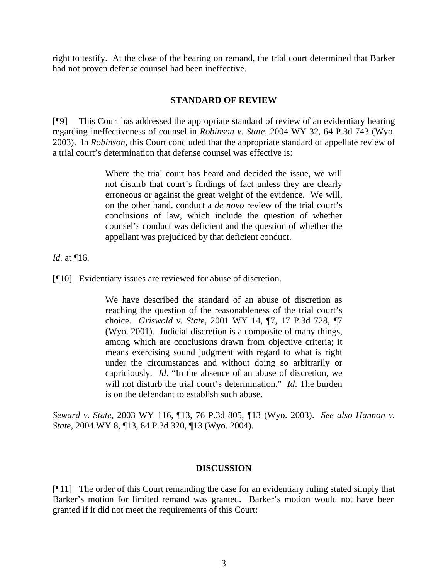right to testify. At the close of the hearing on remand, the trial court determined that Barker had not proven defense counsel had been ineffective.

# **STANDARD OF REVIEW**

[¶9] This Court has addressed the appropriate standard of review of an evidentiary hearing regarding ineffectiveness of counsel in *Robinson v. State*, 2004 WY 32, 64 P.3d 743 (Wyo. 2003). In *Robinson*, this Court concluded that the appropriate standard of appellate review of a trial court's determination that defense counsel was effective is:

> Where the trial court has heard and decided the issue, we will not disturb that court's findings of fact unless they are clearly erroneous or against the great weight of the evidence. We will, on the other hand, conduct a *de novo* review of the trial court's conclusions of law, which include the question of whether counsel's conduct was deficient and the question of whether the appellant was prejudiced by that deficient conduct.

*Id.* at ¶16.

[¶10] Evidentiary issues are reviewed for abuse of discretion.

We have described the standard of an abuse of discretion as reaching the question of the reasonableness of the trial court's choice. *Griswold v. State*, 2001 WY 14, ¶7, 17 P.3d 728, ¶7 (Wyo. 2001). Judicial discretion is a composite of many things, among which are conclusions drawn from objective criteria; it means exercising sound judgment with regard to what is right under the circumstances and without doing so arbitrarily or capriciously. *Id*. "In the absence of an abuse of discretion, we will not disturb the trial court's determination." *Id*. The burden is on the defendant to establish such abuse.

*Seward v. State*, 2003 WY 116, ¶13, 76 P.3d 805, ¶13 (Wyo. 2003). *See also Hannon v. State*, 2004 WY 8, ¶13, 84 P.3d 320, ¶13 (Wyo. 2004).

## **DISCUSSION**

[¶11] The order of this Court remanding the case for an evidentiary ruling stated simply that Barker's motion for limited remand was granted. Barker's motion would not have been granted if it did not meet the requirements of this Court: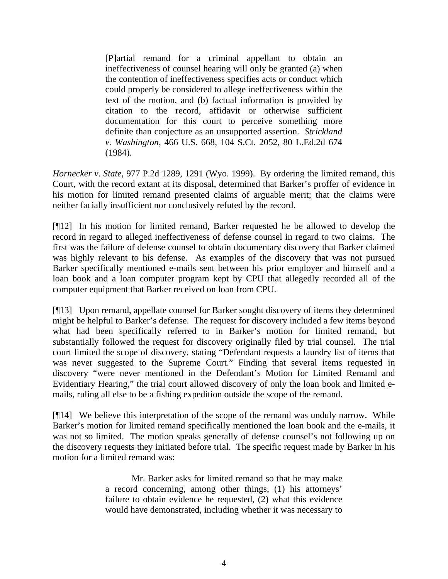[P]artial remand for a criminal appellant to obtain an ineffectiveness of counsel hearing will only be granted (a) when the contention of ineffectiveness specifies acts or conduct which could properly be considered to allege ineffectiveness within the text of the motion, and (b) factual information is provided by citation to the record, affidavit or otherwise sufficient documentation for this court to perceive something more definite than conjecture as an unsupported assertion. *Strickland v. Washington*, 466 U.S. 668, 104 S.Ct. 2052, 80 L.Ed.2d 674 (1984).

*Hornecker v. State*, 977 P.2d 1289, 1291 (Wyo. 1999). By ordering the limited remand, this Court, with the record extant at its disposal, determined that Barker's proffer of evidence in his motion for limited remand presented claims of arguable merit; that the claims were neither facially insufficient nor conclusively refuted by the record.

[¶12] In his motion for limited remand, Barker requested he be allowed to develop the record in regard to alleged ineffectiveness of defense counsel in regard to two claims. The first was the failure of defense counsel to obtain documentary discovery that Barker claimed was highly relevant to his defense. As examples of the discovery that was not pursued Barker specifically mentioned e-mails sent between his prior employer and himself and a loan book and a loan computer program kept by CPU that allegedly recorded all of the computer equipment that Barker received on loan from CPU.

[¶13] Upon remand, appellate counsel for Barker sought discovery of items they determined might be helpful to Barker's defense. The request for discovery included a few items beyond what had been specifically referred to in Barker's motion for limited remand, but substantially followed the request for discovery originally filed by trial counsel. The trial court limited the scope of discovery, stating "Defendant requests a laundry list of items that was never suggested to the Supreme Court." Finding that several items requested in discovery "were never mentioned in the Defendant's Motion for Limited Remand and Evidentiary Hearing," the trial court allowed discovery of only the loan book and limited emails, ruling all else to be a fishing expedition outside the scope of the remand.

[¶14] We believe this interpretation of the scope of the remand was unduly narrow. While Barker's motion for limited remand specifically mentioned the loan book and the e-mails, it was not so limited. The motion speaks generally of defense counsel's not following up on the discovery requests they initiated before trial. The specific request made by Barker in his motion for a limited remand was:

> Mr. Barker asks for limited remand so that he may make a record concerning, among other things, (1) his attorneys' failure to obtain evidence he requested, (2) what this evidence would have demonstrated, including whether it was necessary to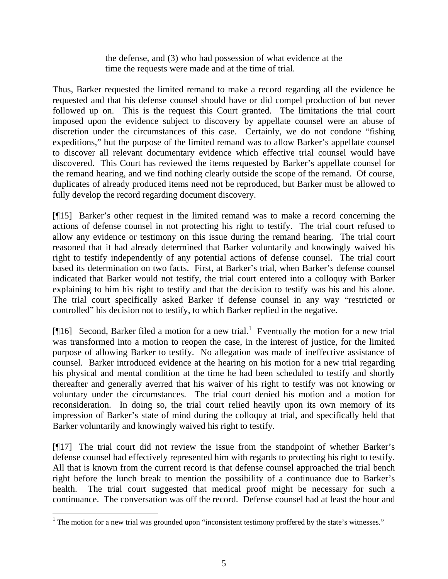the defense, and (3) who had possession of what evidence at the time the requests were made and at the time of trial.

Thus, Barker requested the limited remand to make a record regarding all the evidence he requested and that his defense counsel should have or did compel production of but never followed up on. This is the request this Court granted. The limitations the trial court imposed upon the evidence subject to discovery by appellate counsel were an abuse of discretion under the circumstances of this case. Certainly, we do not condone "fishing expeditions," but the purpose of the limited remand was to allow Barker's appellate counsel to discover all relevant documentary evidence which effective trial counsel would have discovered. This Court has reviewed the items requested by Barker's appellate counsel for the remand hearing, and we find nothing clearly outside the scope of the remand. Of course, duplicates of already produced items need not be reproduced, but Barker must be allowed to fully develop the record regarding document discovery.

[¶15] Barker's other request in the limited remand was to make a record concerning the actions of defense counsel in not protecting his right to testify. The trial court refused to allow any evidence or testimony on this issue during the remand hearing. The trial court reasoned that it had already determined that Barker voluntarily and knowingly waived his right to testify independently of any potential actions of defense counsel. The trial court based its determination on two facts. First, at Barker's trial, when Barker's defense counsel indicated that Barker would not testify, the trial court entered into a colloquy with Barker explaining to him his right to testify and that the decision to testify was his and his alone. The trial court specifically asked Barker if defense counsel in any way "restricted or controlled" his decision not to testify, to which Barker replied in the negative.

[ $[16]$ Second, Barker filed a motion for a new trial.<sup>1</sup> Eventually the motion for a new trial was transformed into a motion to reopen the case, in the interest of justice, for the limited purpose of allowing Barker to testify. No allegation was made of ineffective assistance of counsel. Barker introduced evidence at the hearing on his motion for a new trial regarding his physical and mental condition at the time he had been scheduled to testify and shortly thereafter and generally averred that his waiver of his right to testify was not knowing or voluntary under the circumstances. The trial court denied his motion and a motion for reconsideration. In doing so, the trial court relied heavily upon its own memory of its impression of Barker's state of mind during the colloquy at trial, and specifically held that Barker voluntarily and knowingly waived his right to testify.

[¶17] The trial court did not review the issue from the standpoint of whether Barker's defense counsel had effectively represented him with regards to protecting his right to testify. All that is known from the current record is that defense counsel approached the trial bench right before the lunch break to mention the possibility of a continuance due to Barker's health. The trial court suggested that medical proof might be necessary for such a continuance. The conversation was off the record. Defense counsel had at least the hour and

 $\overline{a}$ 

<span id="page-5-0"></span><sup>&</sup>lt;sup>1</sup> The motion for a new trial was grounded upon "inconsistent testimony proffered by the state's witnesses."